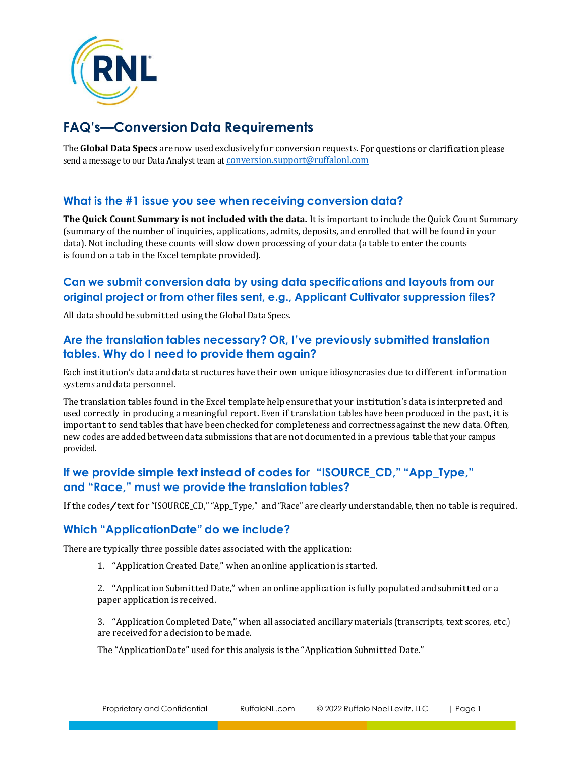

# **FAQ's—Conversion Data Requirements**

The **Global Data Specs** arenow usedexclusivelyfor conversion requests. For questions or clarification please send a message to our Data Analyst team at **conversion**.support@ruffalonl.com

## **What is the #1 issue you see when receiving conversion data?**

**The Quick Count Summary is not included with the data.** It is important to include the Quick Count Summary (summary of the number of inquiries, applications, admits, deposits, and enrolled that will be found in your data). Not including these counts will slow down processing of your data (a table to enter the counts is found on a tab in the Excel template provided).

# **Can we submit conversion data by using data specifications and layouts from our original project or from other files sent, e.g., Applicant Cultivator suppression files?**

All data should be submitted using the Global Data Specs.

## **Are the translation tables necessary? OR, I've previously submitted translation tables. Why do I need to provide them again?**

Each institution's data and data structures have their own unique idiosyncrasies due to different information systems and data personnel.

The translation tables found in the Excel template help ensurethat your institution's data is interpreted and used correctly in producing ameaningful report. Even if translation tables have beenproduced in the past, itis important to send tables that have been checked for completeness and correctness against the new data. Often, new codes areaddedbetween data submissions that arenot documented in a previous table that your campus provided.

## **If we provide simple text instead of codes for "ISOURCE\_CD," "App\_Type," and "Race," must we provide the translation tables?**

If the codes/text for "ISOURCE\_CD," "App\_Type," and "Race" are clearly understandable, then no table is required.

#### **Which "ApplicationDate" do we include?**

There are typically three possible dates associated with the application:

1. "Application Created Date," when anonline application is started.

2. "Application Submitted Date," when anonline application is fully populated and submitted or a paper application is received.

3. "Application Completed Date," when all associated ancillary materials (transcripts, text scores, etc.) are received for adecisionto be made.

The "ApplicationDate" used for this analysis is the "Application Submitted Date."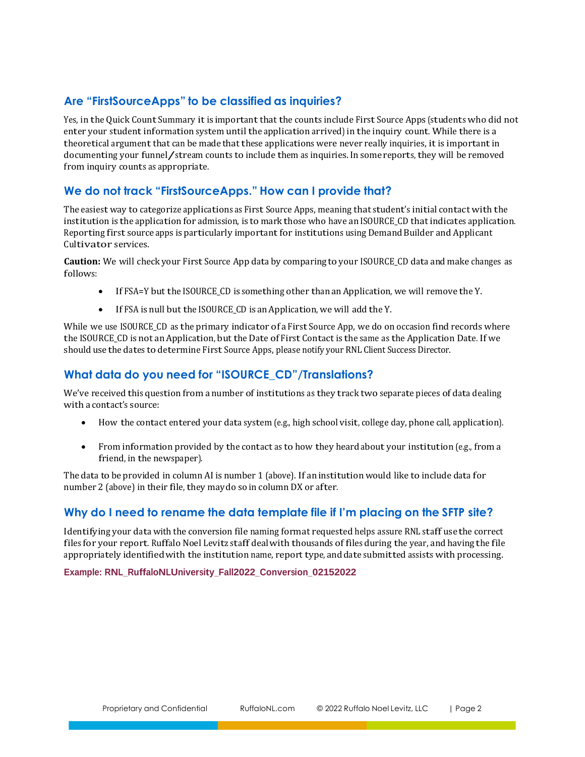# **Are "FirstSourceApps" to be classified as inquiries?**

Yes, in the Quick Count Summary it is important that the counts include First Source Apps (students who did not enter your studentinformation system until the application arrived) in the inquiry count. While there is a theoretical argument that can be made that these applications were never really inquiries, it is important in documenting your funnel/stream counts to include them as inquiries. In some reports, they will be removed from inquiry counts as appropriate.

## **We do not track "FirstSourceApps." How can I provide that?**

The easiest way to categorize applications as First Source Apps, meaning that student's initial contact with the institution is the application for admission, is to mark those who have an ISOURCE\_CD that indicates application. Reporting first source apps isparticularly importantfor institutions using DemandBuilder and Applicant Cultivator services.

**Caution:** We will check your First Source App data by comparing to your ISOURCE\_CD data and make changes as follows:

- If FSA=Y but the ISOURCE\_CD is something other than an Application, we will remove the Y.
- If FSA is null but the ISOURCE\_CD is an Application, we will add the Y.

While we use ISOURCE\_CD as the primary indicator of a First Source App, we do on occasion find records where the ISOURCE\_CD is not anApplication, but the Date of First Contact is the same as the Application Date. If we should usethe dates to determine First Source Apps, please notify your RNL Client Success Director.

# **What data do you need for "ISOURCE\_CD"/Translations?**

We've received this question from anumber of institutions as they track two separate pieces of data dealing with a contact's source:

- How the contact entered your data system (e.g., high school visit, college day, phone call, application).
- From information provided by the contact as to how they heard about your institution (e.g., from a friend, in the newspaper).

The data to be provided in column AI is number 1 (above). If aninstitution would like to include data for number 2 (above) in their file, they maydo so in column DX or after.

# **Why do I need to rename the data template file if I'm placing on the SFTP site?**

Identifying your data with the conversion file naming format requested helps assure RNL staff usethe correct files for your report. Ruffalo Noel Levitz staff dealwith thousands of files during the year, and having the file appropriately identifiedwith the institution name, report type, anddate submitted assists with processing.

**Example: RNL\_RuffaloNLUniversity\_Fall2022\_Conversion\_02152022**